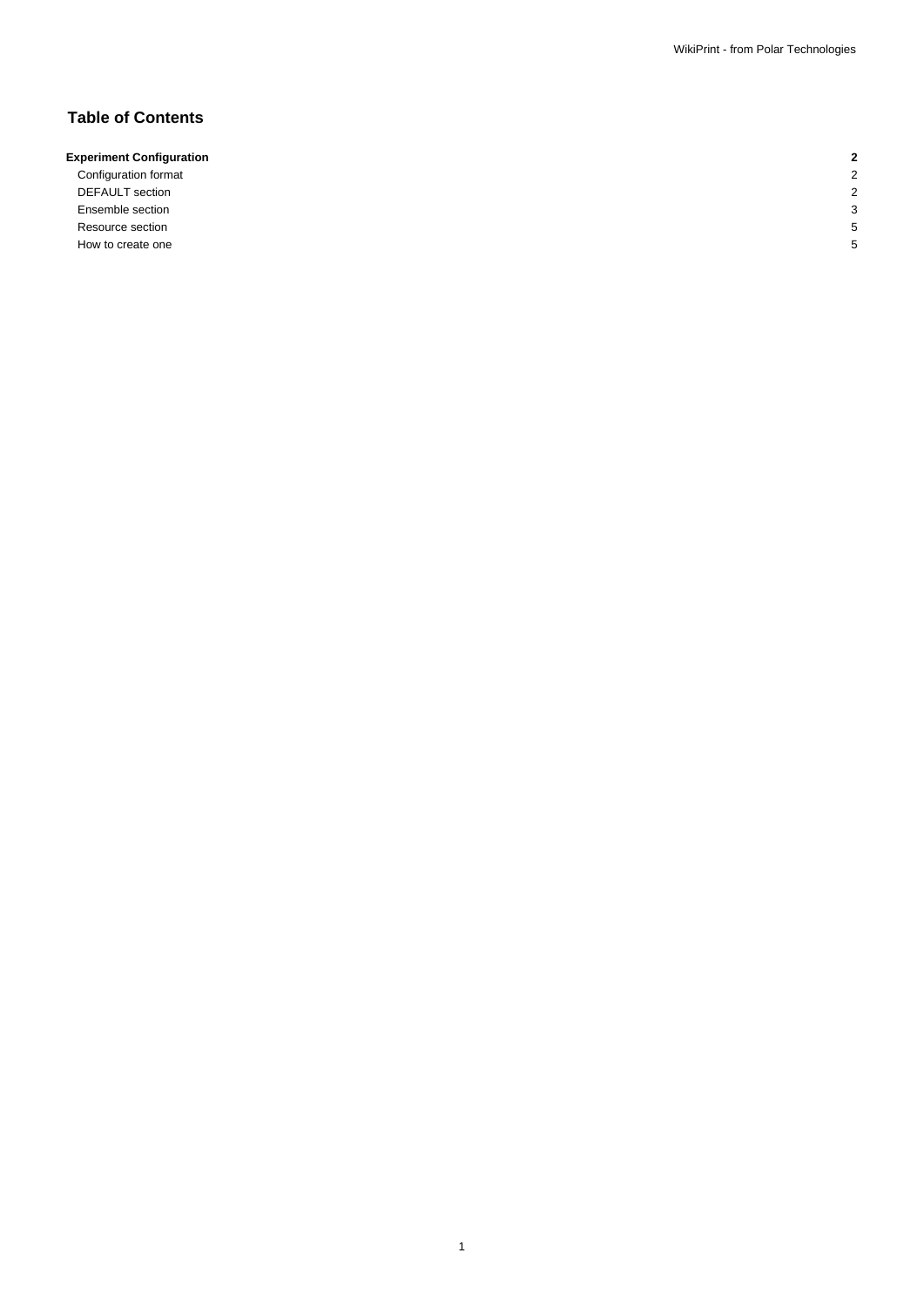# **Table of Contents**

## **Experiment Configuration 2**

Configuration format 2 DEFAULT section 2 **Ensemble section** 3 Resource section 5 How to create one 50 and 50 and 50 and 50 and 50 and 50 and 50 and 50 and 50 and 50 and 50 and 50 and 50 and 50 and 50 and 50 and 50 and 50 and 50 and 50 and 50 and 50 and 50 and 50 and 50 and 50 and 50 and 50 and 50 and 5

1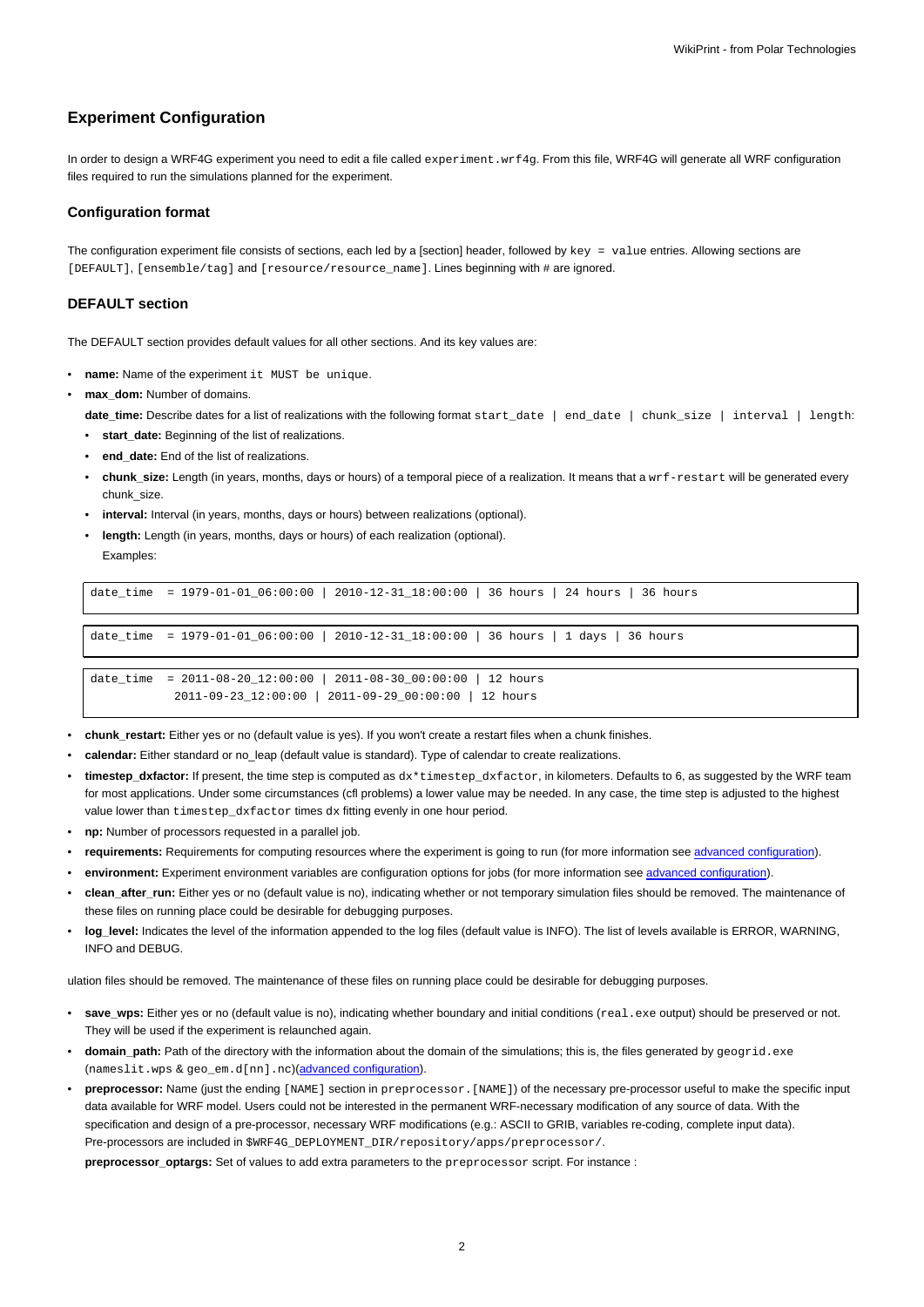## **Experiment Configuration**

In order to design a WRF4G experiment you need to edit a file called experiment.wrf4g. From this file, WRF4G will generate all WRF configuration files required to run the simulations planned for the experiment.

#### **Configuration format**

The configuration experiment file consists of sections, each led by a [section] header, followed by key = value entries. Allowing sections are [DEFAULT], [ensemble/tag] and [resource/resource\_name]. Lines beginning with # are ignored.

#### **DEFAULT section**

The DEFAULT section provides default values for all other sections. And its key values are:

- **name:** Name of the experiment it MUST be unique.
- max\_dom: Number of domains.

**date\_time:** Describe dates for a list of realizations with the following format start\_date | end\_date | chunk\_size | interval | length:

- start date: Beginning of the list of realizations.
- **end\_date:** End of the list of realizations.
- **chunk\_size:** Length (in years, months, days or hours) of a temporal piece of a realization. It means that a wrf-restart will be generated every chunk\_size.
- **interval:** Interval (in years, months, days or hours) between realizations (optional).
- **length:** Length (in years, months, days or hours) of each realization (optional).

Examples:

| date time = 1979-01-01 06:00:00   2010-12-31 18:00:00   36 hours   24 hours   36 hours                                       |
|------------------------------------------------------------------------------------------------------------------------------|
|                                                                                                                              |
|                                                                                                                              |
| date_time = $1979-01-01-06:00:00$   2010-12-31_18:00:00   36 hours   1 days   36 hours                                       |
|                                                                                                                              |
| date time = $2011-08-20-12:00:00$   $2011-08-30-00:00:00$   12 hours<br>2011-09-23 12:00:00   2011-09-29 00:00:00   12 hours |

- **chunk\_restart:** Either yes or no (default value is yes). If you won't create a restart files when a chunk finishes.
- **calendar:** Either standard or no\_leap (default value is standard). Type of calendar to create realizations.
- timestep dxfactor: If present, the time step is computed as dx\*timestep dxfactor, in kilometers. Defaults to 6, as suggested by the WRF team for most applications. Under some circumstances (cfl problems) a lower value may be needed. In any case, the time step is adjusted to the highest value lower than timestep dxfactor times dx fitting evenly in one hour period.
- **np:** Number of processors requested in a parallel job.
- requirements: Requirements for computing resources where the experiment is going to run (for more information see [advanced configuration\)](https://meteo.unican.es/trac/wiki/WRF4G2.0Resources#RequirementExpressionSyntax).
- environment: Experiment environment variables are configuration options for jobs (for more information see [advanced configuration](https://meteo.unican.es/trac/wiki/WRF4G2.0Resources#EnvironmentExpressionSyntax)).
- **clean\_after\_run:** Either yes or no (default value is no), indicating whether or not temporary simulation files should be removed. The maintenance of these files on running place could be desirable for debugging purposes.
- **log\_level:** Indicates the level of the information appended to the log files (default value is INFO). The list of levels available is ERROR, WARNING, INFO and DEBUG.

ulation files should be removed. The maintenance of these files on running place could be desirable for debugging purposes.

- save wps: Either yes or no (default value is no), indicating whether boundary and initial conditions (real.exe output) should be preserved or not. They will be used if the experiment is relaunched again.
- domain\_path: Path of the directory with the information about the domain of the simulations; this is, the files generated by geogrid.exe (nameslit.wps & geo\_em.d[nn].nc)([advanced configuration](https://meteo.unican.es/trac/wiki/WRF4G2.0/WRF4G2.0Paths)).
- **preprocessor:** Name (just the ending [NAME] section in preprocessor.[NAME]) of the necessary pre-processor useful to make the specific input data available for WRF model. Users could not be interested in the permanent WRF-necessary modification of any source of data. With the specification and design of a pre-processor, necessary WRF modifications (e.g.: ASCII to GRIB, variables re-coding, complete input data). Pre-processors are included in \$WRF4G\_DEPLOYMENT\_DIR/repository/apps/preprocessor/.

**preprocessor\_optargs:** Set of values to add extra parameters to the preprocessor script. For instance :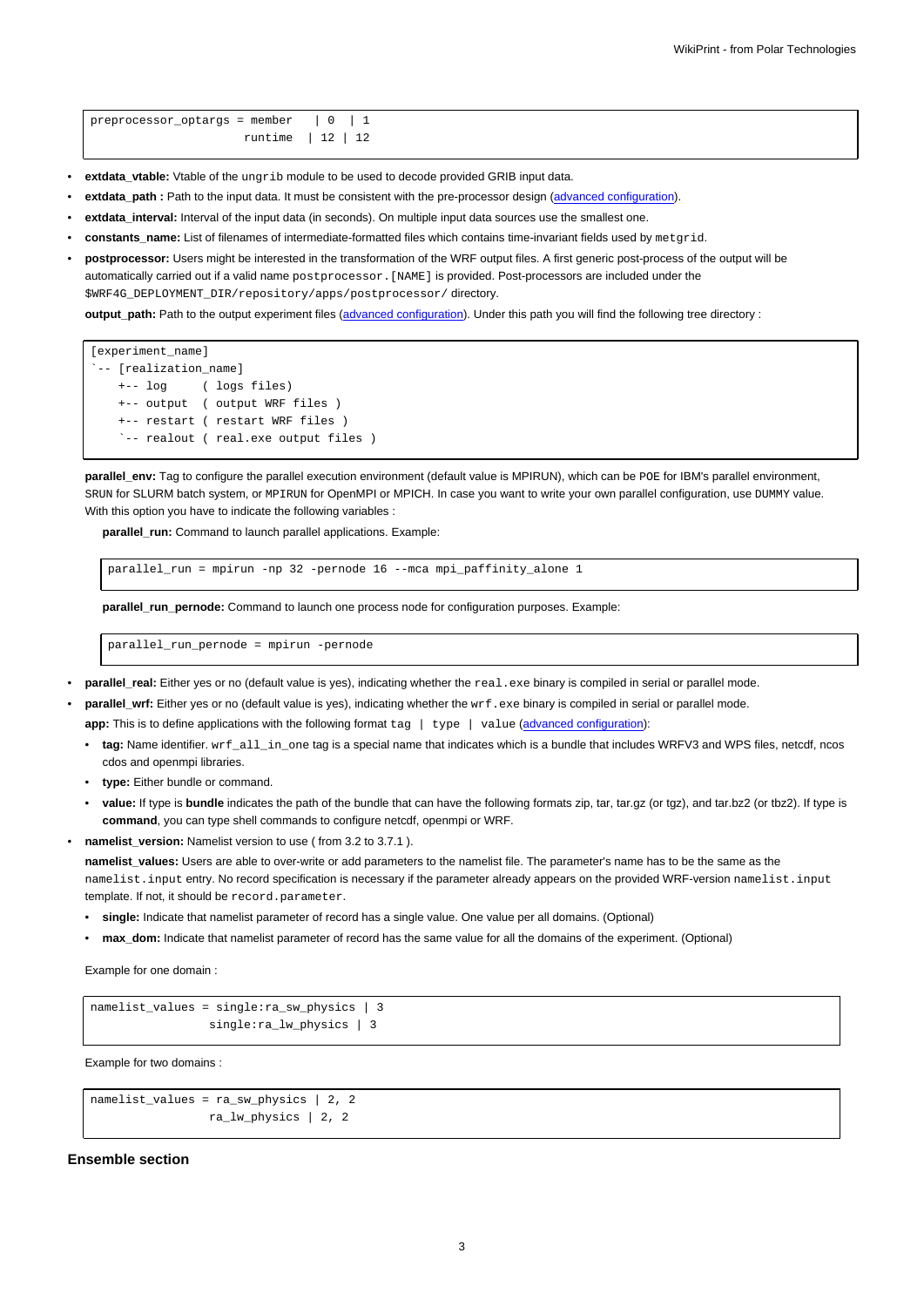- **extdata\_vtable:** Vtable of the ungrib module to be used to decode provided GRIB input data.
- **extdata\_path :** Path to the input data. It must be consistent with the pre-processor design ([advanced configuration\)](https://meteo.unican.es/trac/wiki/WRF4G2.0/WRF4G2.0Paths).
- **extdata\_interval:** Interval of the input data (in seconds). On multiple input data sources use the smallest one.
- **constants\_name:** List of filenames of intermediate-formatted files which contains time-invariant fields used by metgrid.
- **postprocessor:** Users might be interested in the transformation of the WRF output files. A first generic post-process of the output will be automatically carried out if a valid name postprocessor. [NAME] is provided. Post-processors are included under the \$WRF4G\_DEPLOYMENT\_DIR/repository/apps/postprocessor/ directory.

**output\_path:** Path to the output experiment files [\(advanced configuration\)](https://meteo.unican.es/trac/wiki/WRF4G2.0/WRF4G2.0Paths). Under this path you will find the following tree directory :

```
[experiment_name]
`-- [realization_name]
   +-- log ( logs files)
   +-- output ( output WRF files )
   +-- restart ( restart WRF files )
    `-- realout ( real.exe output files )
```
**parallel env:** Tag to configure the parallel execution environment (default value is MPIRUN), which can be POE for IBM's parallel environment, SRUN for SLURM batch system, or MPIRUN for OpenMPI or MPICH. In case you want to write your own parallel configuration, use DUMMY value. With this option you have to indicate the following variables :

parallel run: Command to launch parallel applications. Example:

parallel\_run = mpirun -np 32 -pernode 16 --mca mpi\_paffinity\_alone 1

**parallel\_run\_pernode:** Command to launch one process node for configuration purposes. Example:

parallel\_run\_pernode = mpirun -pernode

```
parallel_real: Either yes or no (default value is yes), indicating whether the real.exe binary is compiled in serial or parallel mode.
```
- parallel\_wrf: Either yes or no (default value is yes), indicating whether the wrf.exe binary is compiled in serial or parallel mode. **app:** This is to define applications with the following format tag | type | value [\(advanced configuration\)](https://meteo.unican.es/trac/wiki/WRF4G2.0/WRFAPP):
	- **tag:** Name identifier. wrf\_all\_in\_one tag is a special name that indicates which is a bundle that includes WRFV3 and WPS files, netcdf, ncos cdos and openmpi libraries.
	- **type:** Either bundle or command.
	- **value:** If type is **bundle** indicates the path of the bundle that can have the following formats zip, tar, tar.gz (or tgz), and tar.bz2 (or tbz2). If type is **command**, you can type shell commands to configure netcdf, openmpi or WRF.
- **namelist\_version:** Namelist version to use ( from 3.2 to 3.7.1 ).

namelist values: Users are able to over-write or add parameters to the namelist file. The parameter's name has to be the same as the namelist.input entry. No record specification is necessary if the parameter already appears on the provided WRF-version namelist.input template. If not, it should be record.parameter.

- **single:** Indicate that namelist parameter of record has a single value. One value per all domains. (Optional)
- **max\_dom:** Indicate that namelist parameter of record has the same value for all the domains of the experiment. (Optional)

Example for one domain :

```
namelist_values = single:ra_sw_physics | 3
                 single:ra_lw_physics | 3
```
Example for two domains :

```
namelist_values = ra_sw_physics | 2, 2
                ra lw physics | 2, 2
```
### **Ensemble section**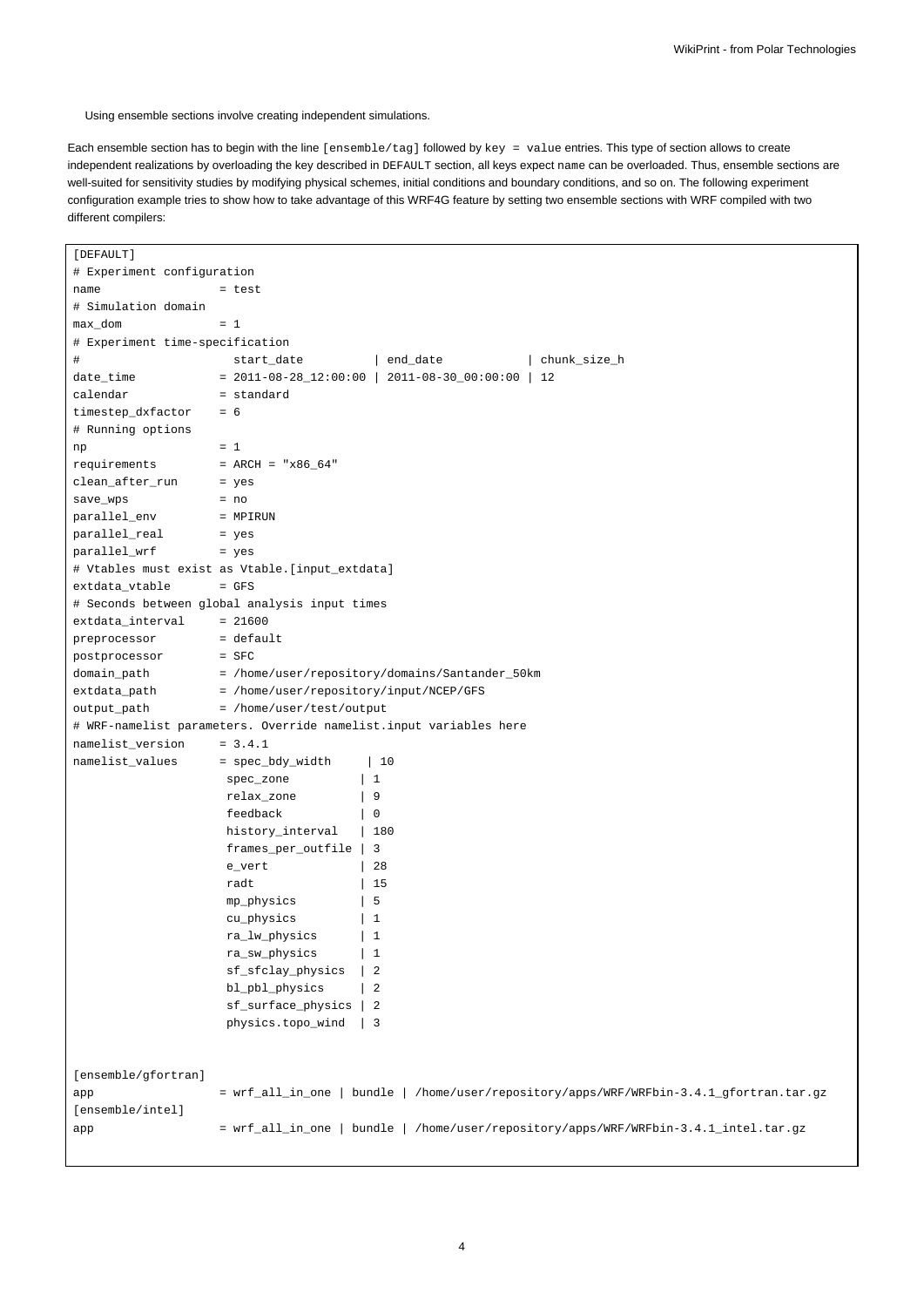Using ensemble sections involve creating independent simulations.

Each ensemble section has to begin with the line [ensemble/tag] followed by key = value entries. This type of section allows to create independent realizations by overloading the key described in DEFAULT section, all keys expect name can be overloaded. Thus, ensemble sections are well-suited for sensitivity studies by modifying physical schemes, initial conditions and boundary conditions, and so on. The following experiment configuration example tries to show how to take advantage of this WRF4G feature by setting two ensemble sections with WRF compiled with two different compilers:

| [DEFAULT]                       |                                                |                                                                                         |
|---------------------------------|------------------------------------------------|-----------------------------------------------------------------------------------------|
| # Experiment configuration      |                                                |                                                                                         |
| name                            | = test                                         |                                                                                         |
| # Simulation domain             |                                                |                                                                                         |
| max_dom                         | $= 1$                                          |                                                                                         |
| # Experiment time-specification |                                                |                                                                                         |
| $\#$                            | start_date                                     | end_date  <br>chunk_size_h                                                              |
| date_time                       |                                                | $= 2011 - 08 - 28 - 12:00:00$   2011-08-30-00:00:00<br>12                               |
| calendar                        | = standard                                     |                                                                                         |
| timestep_dxfactor               | $= 6$                                          |                                                                                         |
| # Running options               |                                                |                                                                                         |
| np                              | $= 1$                                          |                                                                                         |
| requirements                    | = $ARCH = "x86_64"$                            |                                                                                         |
| clean_after_run                 | = yes                                          |                                                                                         |
| save_wps                        | $= no$                                         |                                                                                         |
| parallel_env                    | = MPIRUN                                       |                                                                                         |
| parallel_real                   | = yes                                          |                                                                                         |
| parallel_wrf                    | = yes                                          |                                                                                         |
|                                 | # Vtables must exist as Vtable.[input_extdata] |                                                                                         |
| extdata_vtable                  | $=$ GFS                                        |                                                                                         |
|                                 | # Seconds between global analysis input times  |                                                                                         |
| extdata_interval                | $= 21600$                                      |                                                                                         |
| preprocessor                    | = default                                      |                                                                                         |
| postprocessor                   | $=$ SFC                                        |                                                                                         |
| domain_path                     |                                                | = /home/user/repository/domains/Santander_50km                                          |
| extdata_path                    | = /home/user/repository/input/NCEP/GFS         |                                                                                         |
| output_path                     | = /home/user/test/output                       |                                                                                         |
|                                 |                                                | # WRF-namelist parameters. Override namelist.input variables here                       |
| namelist_version                | $= 3.4.1$                                      |                                                                                         |
| namelist_values                 | = spec_bdy_width                               | 10                                                                                      |
|                                 | spec_zone                                      | 1                                                                                       |
|                                 | relax_zone                                     | 9                                                                                       |
|                                 | feedback                                       | 0                                                                                       |
|                                 | history_interval                               | 180                                                                                     |
|                                 | frames_per_outfile                             | 3                                                                                       |
|                                 | e_vert                                         | 28                                                                                      |
|                                 | radt                                           | 15                                                                                      |
|                                 | mp_physics                                     | 5                                                                                       |
|                                 | cu_physics                                     | 1                                                                                       |
|                                 | ra_lw_physics                                  | $\mathbf{1}$                                                                            |
|                                 | ra_sw_physics                                  | $\mathbf{1}$                                                                            |
|                                 | sf_sfclay_physics                              | $\overline{2}$                                                                          |
|                                 | bl_pbl_physics                                 | $\overline{2}$                                                                          |
|                                 | sf_surface_physics                             | $\overline{2}$                                                                          |
|                                 | physics.topo_wind                              | 3                                                                                       |
|                                 |                                                |                                                                                         |
| [ensemble/gfortran]             |                                                |                                                                                         |
| app                             |                                                | = wrf_all_in_one   bundle   /home/user/repository/apps/WRF/WRFbin-3.4.1_gfortran.tar.gz |
| [ensemble/intel]                |                                                |                                                                                         |
| app                             |                                                | = wrf_all_in_one   bundle   /home/user/repository/apps/WRF/WRFbin-3.4.1_intel.tar.gz    |
|                                 |                                                |                                                                                         |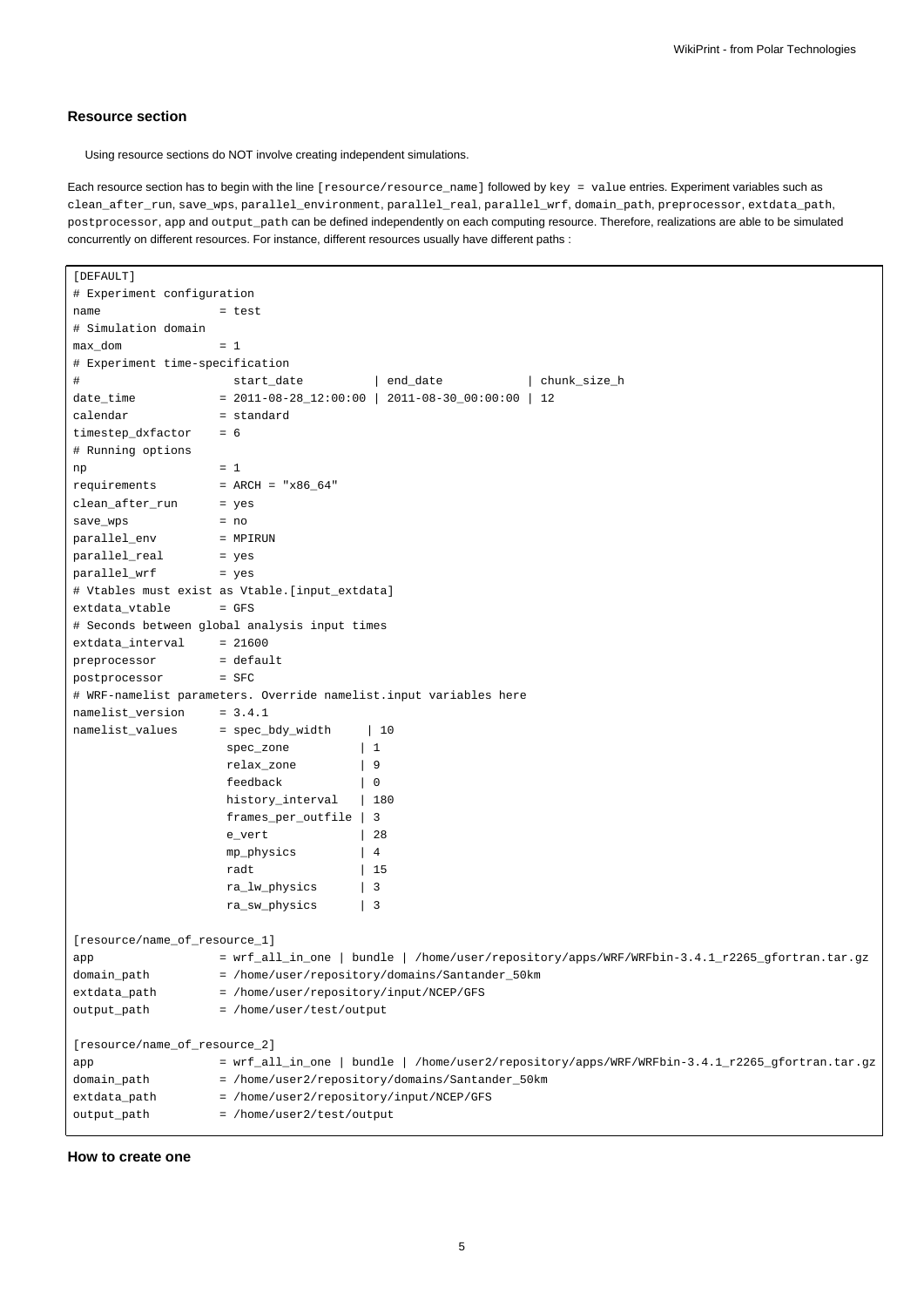#### **Resource section**

Using resource sections do NOT involve creating independent simulations.

Each resource section has to begin with the line [resource/resource\_name] followed by key = value entries. Experiment variables such as clean\_after\_run, save\_wps, parallel\_environment, parallel\_real, parallel\_wrf, domain\_path, preprocessor, extdata\_path, postprocessor, app and output\_path can be defined independently on each computing resource. Therefore, realizations are able to be simulated concurrently on different resources. For instance, different resources usually have different paths :

```
[DEFAULT]
# Experiment configuration
name = test
# Simulation domain
max_d dom = 1# Experiment time-specification
# start_date | end_date | chunk_size_h
date_time = 2011-08-28_12:00:00 | 2011-08-30_00:00:00 | 12
calendar = standard
timestep_dxfactor = 6
# Running options
np = 1requirements = ARCH = "x86_64"clean_after_run = yes
save_wps = no
parallel_env = MPIRUN
parallel_real = yes
parallel_wrf = yes
# Vtables must exist as Vtable.[input_extdata]
extdata_vtable = GFS
# Seconds between global analysis input times
extdata_interval = 21600
preprocessor = default
postprocessor = SFC
# WRF-namelist parameters. Override namelist.input variables here
namelist_version = 3.4.1
namelist_values = spec_bdy_width | 10
                 spec_zone | 1
                 relax_zone | 9
                 feedback | 0
                 history_interval | 180
                 frames_per_outfile | 3
                 e_vert | 28
                 mp_physics | 4
                 radt | 15
                 ra_lw_physics | 3
                 ra_sw_physics | 3
[resource/name_of_resource_1]
app = \text{wrf\_all\_in\_one} | bundle | /home/user/repository/apps/WRF/WRFbin-3.4.1_r2265_gfortran.tar.gz
domain_path = /home/user/repository/domains/Santander_50km
extdata_path = /home/user/repository/input/NCEP/GFS
output_path = /home/user/test/output
[resource/name_of_resource_2]
app = wrf_all_in_one | bundle | /home/user2/repository/apps/WRF/WRFbin-3.4.1_r2265_gfortran.tar.gz
domain_path = /home/user2/repository/domains/Santander_50km
extdata_path = /home/user2/repository/input/NCEP/GFS
output_path = /home/user2/test/output
```
#### **How to create one**